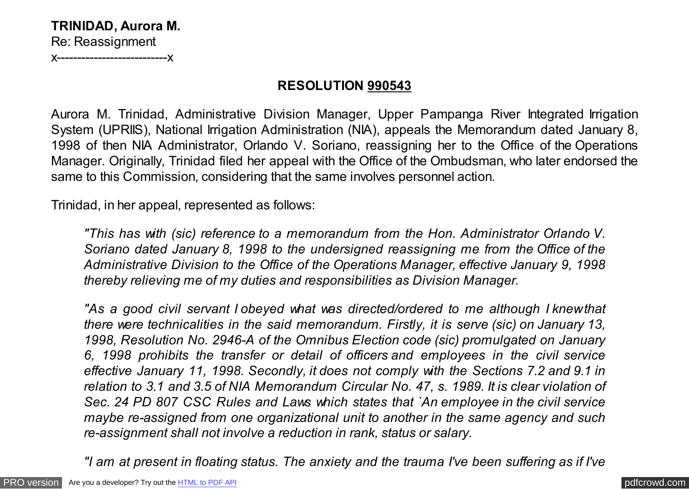# **TRINIDAD, Aurora M.** Re: Reassignment

x---------------------------x

### **RESOLUTION 990543**

Aurora M. Trinidad, Administrative Division Manager, Upper Pampanga River Integrated Irrigation System (UPRIIS), National Irrigation Administration (NIA), appeals the Memorandum dated January 8, 1998 of then NIA Administrator, Orlando V. Soriano, reassigning her to the Office of the Operations Manager. Originally, Trinidad filed her appeal with the Office of the Ombudsman, who later endorsed the same to this Commission, considering that the same involves personnel action.

Trinidad, in her appeal, represented as follows:

*"This has with (sic) reference to a memorandum from the Hon. Administrator Orlando V. Soriano dated January 8, 1998 to the undersigned reassigning me from the Office of the Administrative Division to the Office of the Operations Manager, effective January 9, 1998 thereby relieving me of my duties and responsibilities as Division Manager.*

*"As a good civil servant I obeyed what was directed/ordered to me although I knew that there were technicalities in the said memorandum. Firstly, it is serve (sic) on January 13, 1998, Resolution No. 2946-A of the Omnibus Election code (sic) promulgated on January 6, 1998 prohibits the transfer or detail of officers and employees in the civil service effective January 11, 1998. Secondly, it does not comply with the Sections 7.2 and 9.1 in relation to 3.1 and 3.5 of NIA Memorandum Circular No. 47, s. 1989. It is clear violation of Sec. 24 PD 807 CSC Rules and Laws which states that `An employee in the civil service maybe re-assigned from one organizational unit to another in the same agency and such re-assignment shall not involve a reduction in rank, status or salary.*

*"I am at present in floating status. The anxiety and the trauma I've been suffering as if I've*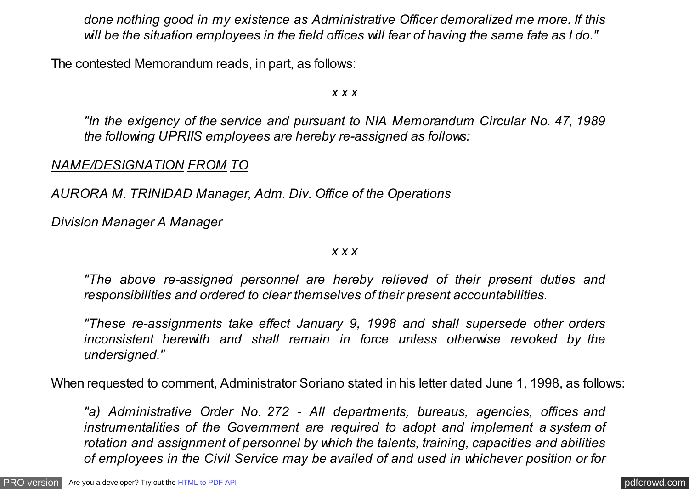*done nothing good in my existence as Administrative Officer demoralized me more. If this will be the situation employees in the field offices will fear of having the same fate as I do."*

The contested Memorandum reads, in part, as follows:

*x x x*

*"In the exigency of the service and pursuant to NIA Memorandum Circular No. 47, 1989 the following UPRIIS employees are hereby re-assigned as follows:*

*NAME/DESIGNATION FROM TO*

*AURORA M. TRINIDAD Manager, Adm. Div. Office of the Operations*

*Division Manager A Manager*

*x x x*

*"The above re-assigned personnel are hereby relieved of their present duties and responsibilities and ordered to clear themselves of their present accountabilities.*

*"These re-assignments take effect January 9, 1998 and shall supersede other orders inconsistent herewith and shall remain in force unless otherwise revoked by the undersigned."*

When requested to comment, Administrator Soriano stated in his letter dated June 1, 1998, as follows:

*"a) Administrative Order No. 272 - All departments, bureaus, agencies, offices and instrumentalities of the Government are required to adopt and implement a system of rotation and assignment of personnel by which the talents, training, capacities and abilities of employees in the Civil Service may be availed of and used in whichever position or for*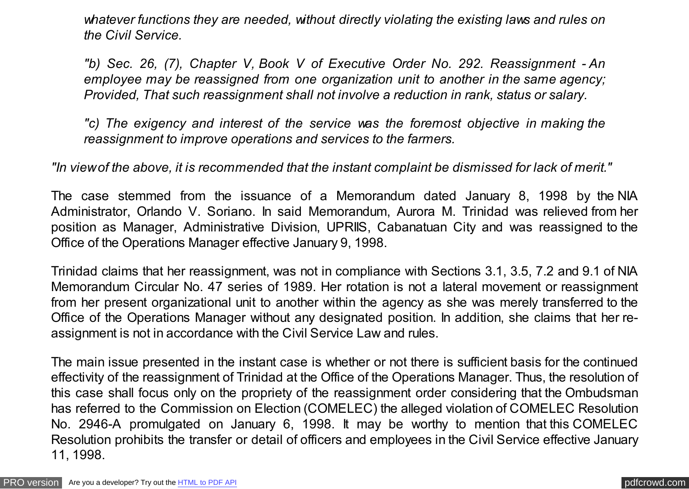*whatever functions they are needed, without directly violating the existing laws and rules on the Civil Service.*

*"b) Sec. 26, (7), Chapter V, Book V of Executive Order No. 292. Reassignment - An employee may be reassigned from one organization unit to another in the same agency; Provided, That such reassignment shall not involve a reduction in rank, status or salary.*

*"c) The exigency and interest of the service was the foremost objective in making the reassignment to improve operations and services to the farmers.*

*"In view of the above, it is recommended that the instant complaint be dismissed for lack of merit."*

The case stemmed from the issuance of a Memorandum dated January 8, 1998 by the NIA Administrator, Orlando V. Soriano. In said Memorandum, Aurora M. Trinidad was relieved from her position as Manager, Administrative Division, UPRIIS, Cabanatuan City and was reassigned to the Office of the Operations Manager effective January 9, 1998.

Trinidad claims that her reassignment, was not in compliance with Sections 3.1, 3.5, 7.2 and 9.1 of NIA Memorandum Circular No. 47 series of 1989. Her rotation is not a lateral movement or reassignment from her present organizational unit to another within the agency as she was merely transferred to the Office of the Operations Manager without any designated position. In addition, she claims that her reassignment is not in accordance with the Civil Service Law and rules.

The main issue presented in the instant case is whether or not there is sufficient basis for the continued effectivity of the reassignment of Trinidad at the Office of the Operations Manager. Thus, the resolution of this case shall focus only on the propriety of the reassignment order considering that the Ombudsman has referred to the Commission on Election (COMELEC) the alleged violation of COMELEC Resolution No. 2946-A promulgated on January 6, 1998. It may be worthy to mention that this COMELEC Resolution prohibits the transfer or detail of officers and employees in the Civil Service effective January 11, 1998.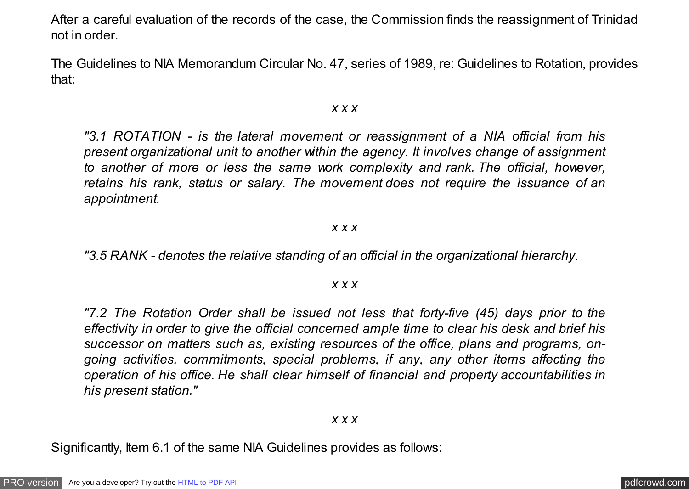After a careful evaluation of the records of the case, the Commission finds the reassignment of Trinidad not in order.

The Guidelines to NIA Memorandum Circular No. 47, series of 1989, re: Guidelines to Rotation, provides that:

### *x x x*

*"3.1 ROTATION - is the lateral movement or reassignment of a NIA official from his present organizational unit to another within the agency. It involves change of assignment to another of more or less the same work complexity and rank. The official, however, retains his rank, status or salary. The movement does not require the issuance of an appointment.*

### *x x x*

*"3.5 RANK - denotes the relative standing of an official in the organizational hierarchy.*

#### *x x x*

*"7.2 The Rotation Order shall be issued not less that forty-five (45) days prior to the effectivity in order to give the official concerned ample time to clear his desk and brief his successor on matters such as, existing resources of the office, plans and programs, ongoing activities, commitments, special problems, if any, any other items affecting the operation of his office. He shall clear himself of financial and property accountabilities in his present station."*

#### *x x x*

Significantly, Item 6.1 of the same NIA Guidelines provides as follows: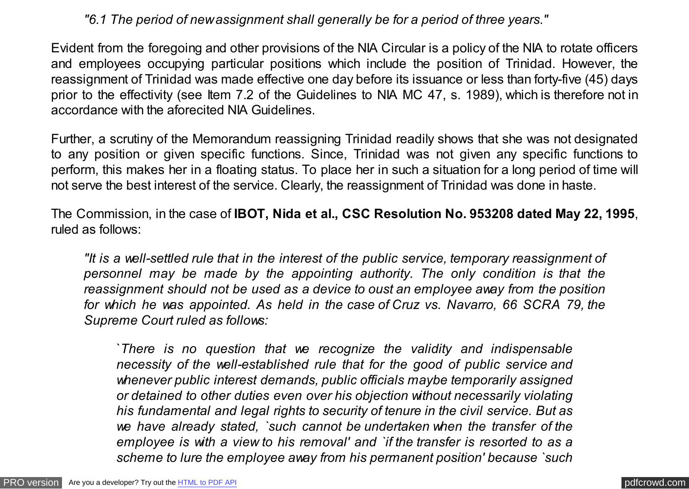## *"6.1 The period of new assignment shall generally be for a period of three years."*

Evident from the foregoing and other provisions of the NIA Circular is a policy of the NIA to rotate officers and employees occupying particular positions which include the position of Trinidad. However, the reassignment of Trinidad was made effective one day before its issuance or less than forty-five (45) days prior to the effectivity (see Item 7.2 of the Guidelines to NIA MC 47, s. 1989), which is therefore not in accordance with the aforecited NIA Guidelines.

Further, a scrutiny of the Memorandum reassigning Trinidad readily shows that she was not designated to any position or given specific functions. Since, Trinidad was not given any specific functions to perform, this makes her in a floating status. To place her in such a situation for a long period of time will not serve the best interest of the service. Clearly, the reassignment of Trinidad was done in haste.

The Commission, in the case of **IBOT, Nida et al., CSC Resolution No. 953208 dated May 22, 1995**, ruled as follows:

*"It is a well-settled rule that in the interest of the public service, temporary reassignment of personnel may be made by the appointing authority. The only condition is that the reassignment should not be used as a device to oust an employee away from the position for which he was appointed. As held in the case of Cruz vs. Navarro, 66 SCRA 79, the Supreme Court ruled as follows:*

`*There is no question that we recognize the validity and indispensable necessity of the well-established rule that for the good of public service and whenever public interest demands, public officials maybe temporarily assigned or detained to other duties even over his objection without necessarily violating his fundamental and legal rights to security of tenure in the civil service. But as we have already stated, `such cannot be undertaken when the transfer of the employee is with a view to his removal' and `if the transfer is resorted to as a scheme to lure the employee away from his permanent position' because `such*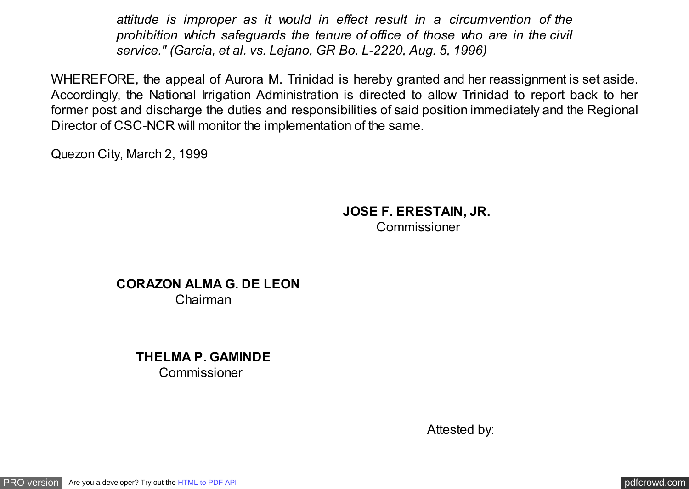*attitude is improper as it would in effect result in a circumvention of the prohibition which safeguards the tenure of office of those who are in the civil service." (Garcia, et al. vs. Lejano, GR Bo. L-2220, Aug. 5, 1996)*

WHEREFORE, the appeal of Aurora M. Trinidad is hereby granted and her reassignment is set aside. Accordingly, the National Irrigation Administration is directed to allow Trinidad to report back to her former post and discharge the duties and responsibilities of said position immediately and the Regional Director of CSC-NCR will monitor the implementation of the same.

Quezon City, March 2, 1999

# **JOSE F. ERESTAIN, JR.** Commissioner

**CORAZON ALMA G. DE LEON**  Chairman

> **THELMA P. GAMINDE**  Commissioner

> > Attested by: